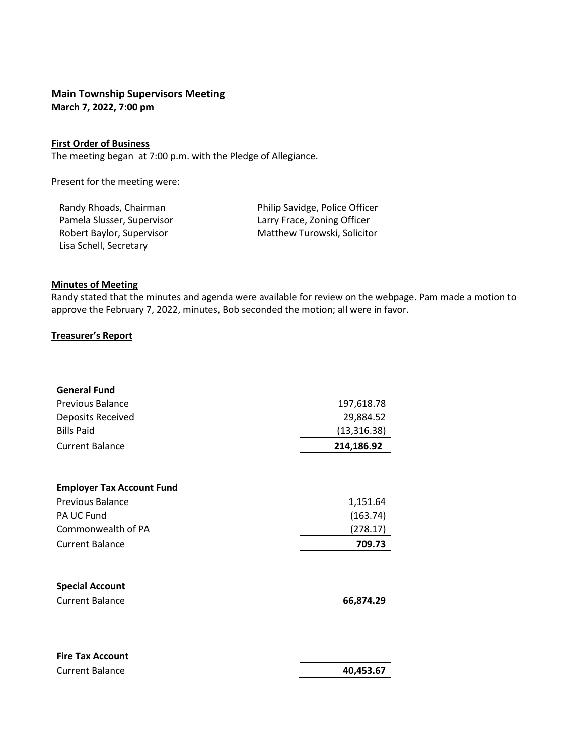# **Main Township Supervisors Meeting March 7, 2022, 7:00 pm**

### **First Order of Business**

The meeting began at 7:00 p.m. with the Pledge of Allegiance.

Present for the meeting were:

Pamela Slusser, Supervisor **Larry Frace, Zoning Officer** Lisa Schell, Secretary

Randy Rhoads, Chairman Philip Savidge, Police Officer Robert Baylor, Supervisor Matthew Turowski, Solicitor

Current Balance **40,453.67** 

#### **Minutes of Meeting**

Randy stated that the minutes and agenda were available for review on the webpage. Pam made a motion to approve the February 7, 2022, minutes, Bob seconded the motion; all were in favor.

## **Treasurer's Report**

| <b>General Fund</b>              |              |
|----------------------------------|--------------|
| Previous Balance                 | 197,618.78   |
| Deposits Received                | 29,884.52    |
| <b>Bills Paid</b>                | (13, 316.38) |
| <b>Current Balance</b>           | 214,186.92   |
|                                  |              |
| <b>Employer Tax Account Fund</b> |              |
| <b>Previous Balance</b>          | 1,151.64     |
| PA UC Fund                       | (163.74)     |
| Commonwealth of PA               | (278.17)     |
| <b>Current Balance</b>           | 709.73       |
|                                  |              |
| <b>Special Account</b>           |              |
| <b>Current Balance</b>           | 66,874.29    |
|                                  |              |

| <b>Fire Tax Account</b> |  |
|-------------------------|--|
| <b>Current Balance</b>  |  |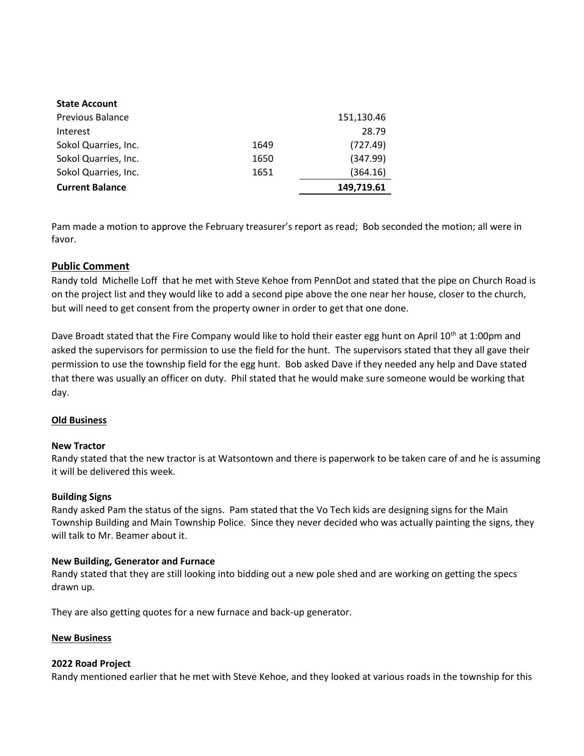| <b>State Account</b>    |      |            |
|-------------------------|------|------------|
| <b>Previous Balance</b> |      | 151,130.46 |
| Interest                |      | 28.79      |
| Sokol Quarries, Inc.    | 1649 | (727.49)   |
| Sokol Quarries, Inc.    | 1650 | (347.99)   |
| Sokol Quarries, Inc.    | 1651 | (364.16)   |
| <b>Current Balance</b>  |      | 149,719.61 |

Pam made a motion to approve the February treasurer's report as read; Bob seconded the motion; all were in favor.

# **Public Comment**

Randy told Michelle Loff that he met with Steve Kehoe from PennDot and stated that the pipe on Church Road is on the project list and they would like to add a second pipe above the one near her house, closer to the church, but will need to get consent from the property owner in order to get that one done.

Dave Broadt stated that the Fire Company would like to hold their easter egg hunt on April 10<sup>th</sup> at 1:00pm and asked the supervisors for permission to use the field for the hunt. The supervisors stated that they all gave their permission to use the township field for the egg hunt. Bob asked Dave if they needed any help and Dave stated that there was usually an officer on duty. Phil stated that he would make sure someone would be working that day.

## **Old Business**

## **New Tractor**

Randy stated that the new tractor is at Watsontown and there is paperwork to be taken care of and he is assuming it will be delivered this week.

## **Building Signs**

Randy asked Pam the status of the signs. Pam stated that the Vo Tech kids are designing signs for the Main Township Building and Main Township Police. Since they never decided who was actually painting the signs, they will talk to Mr. Beamer about it.

### **New Building, Generator and Furnace**

Randy stated that they are still looking into bidding out a new pole shed and are working on getting the specs drawn up.

They are also getting quotes for a new furnace and back-up generator.

### **New Business**

### **2022 Road Project**

Randy mentioned earlier that he met with Steve Kehoe, and they looked at various roads in the township for this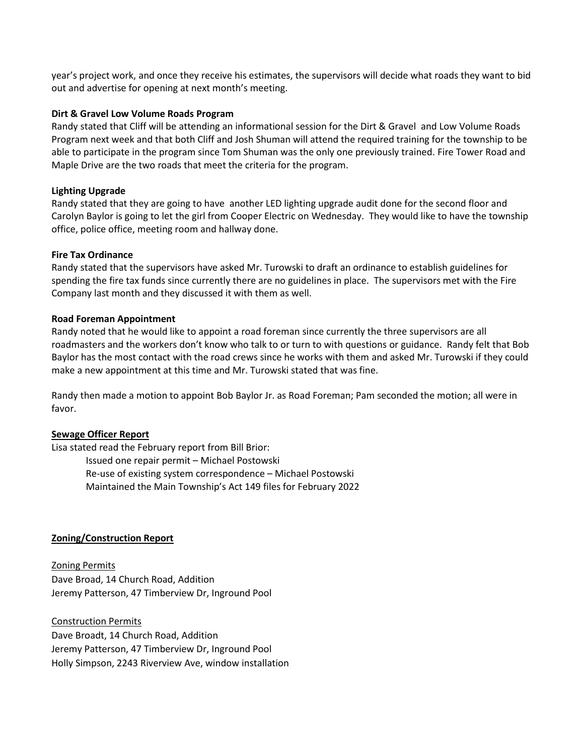year's project work, and once they receive his estimates, the supervisors will decide what roads they want to bid out and advertise for opening at next month's meeting.

### **Dirt & Gravel Low Volume Roads Program**

Randy stated that Cliff will be attending an informational session for the Dirt & Gravel and Low Volume Roads Program next week and that both Cliff and Josh Shuman will attend the required training for the township to be able to participate in the program since Tom Shuman was the only one previously trained. Fire Tower Road and Maple Drive are the two roads that meet the criteria for the program.

### **Lighting Upgrade**

Randy stated that they are going to have another LED lighting upgrade audit done for the second floor and Carolyn Baylor is going to let the girl from Cooper Electric on Wednesday. They would like to have the township office, police office, meeting room and hallway done.

#### **Fire Tax Ordinance**

Randy stated that the supervisors have asked Mr. Turowski to draft an ordinance to establish guidelines for spending the fire tax funds since currently there are no guidelines in place. The supervisors met with the Fire Company last month and they discussed it with them as well.

#### **Road Foreman Appointment**

Randy noted that he would like to appoint a road foreman since currently the three supervisors are all roadmasters and the workers don't know who talk to or turn to with questions or guidance. Randy felt that Bob Baylor has the most contact with the road crews since he works with them and asked Mr. Turowski if they could make a new appointment at this time and Mr. Turowski stated that was fine.

Randy then made a motion to appoint Bob Baylor Jr. as Road Foreman; Pam seconded the motion; all were in favor.

#### **Sewage Officer Report**

Lisa stated read the February report from Bill Brior: Issued one repair permit – Michael Postowski Re-use of existing system correspondence – Michael Postowski Maintained the Main Township's Act 149 files for February 2022

### **Zoning/Construction Report**

Zoning Permits Dave Broad, 14 Church Road, Addition Jeremy Patterson, 47 Timberview Dr, Inground Pool

Construction Permits Dave Broadt, 14 Church Road, Addition Jeremy Patterson, 47 Timberview Dr, Inground Pool Holly Simpson, 2243 Riverview Ave, window installation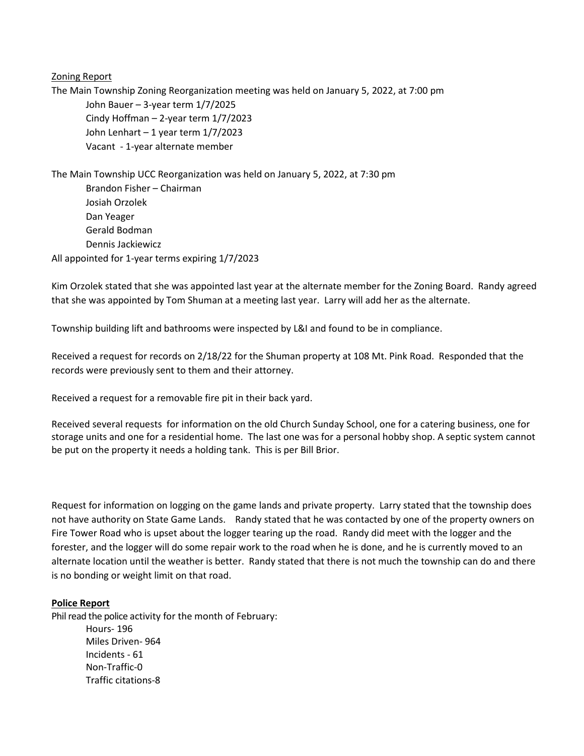Zoning Report

The Main Township Zoning Reorganization meeting was held on January 5, 2022, at 7:00 pm John Bauer – 3-year term 1/7/2025 Cindy Hoffman – 2-year term 1/7/2023 John Lenhart – 1 year term 1/7/2023 Vacant - 1-year alternate member

The Main Township UCC Reorganization was held on January 5, 2022, at 7:30 pm Brandon Fisher – Chairman Josiah Orzolek Dan Yeager Gerald Bodman Dennis Jackiewicz All appointed for 1-year terms expiring 1/7/2023

Kim Orzolek stated that she was appointed last year at the alternate member for the Zoning Board. Randy agreed that she was appointed by Tom Shuman at a meeting last year. Larry will add her as the alternate.

Township building lift and bathrooms were inspected by L&I and found to be in compliance.

Received a request for records on 2/18/22 for the Shuman property at 108 Mt. Pink Road. Responded that the records were previously sent to them and their attorney.

Received a request for a removable fire pit in their back yard.

Received several requests for information on the old Church Sunday School, one for a catering business, one for storage units and one for a residential home. The last one was for a personal hobby shop. A septic system cannot be put on the property it needs a holding tank. This is per Bill Brior.

Request for information on logging on the game lands and private property. Larry stated that the township does not have authority on State Game Lands. Randy stated that he was contacted by one of the property owners on Fire Tower Road who is upset about the logger tearing up the road. Randy did meet with the logger and the forester, and the logger will do some repair work to the road when he is done, and he is currently moved to an alternate location until the weather is better. Randy stated that there is not much the township can do and there is no bonding or weight limit on that road.

### **Police Report**

Phil read the police activity for the month of February:

Hours- 196 Miles Driven- 964 Incidents - 61 Non-Traffic-0 Traffic citations-8